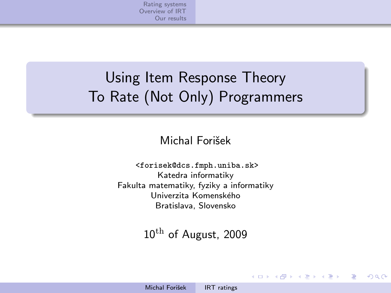[Rating systems](#page-1-0) [Overview of IRT](#page-4-0) [Our results](#page-8-0)

# Using Item Response Theory To Rate (Not Only) Programmers

Michal Forišek

<forisek@dcs.fmph.uniba.sk> Katedra informatiky Fakulta matematiky, fyziky a informatiky Univerzita Komenského Bratislava, Slovensko

 $10^{\text{th}}$  of August, 2009

 $\rightarrow$   $\Rightarrow$   $\rightarrow$ 

<span id="page-0-0"></span> $\Omega$ 

 $4.7.1 \times 4.7.1 \times 10^{-1}$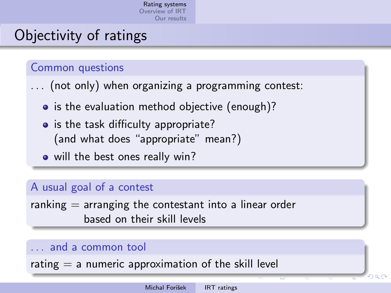# Objectivity of ratings

### Common questions

- . . . (not only) when organizing a programming contest:
	- is the evaluation method objective (enough)?
	- is the task difficulty appropriate? (and what does "appropriate" mean?)
	- will the best ones really win?

### A usual goal of a contest

ranking  $=$  arranging the contestant into a linear order based on their skill levels

### and a common tool

<span id="page-1-0"></span>rating  $=$  a numeric approximation of the skill level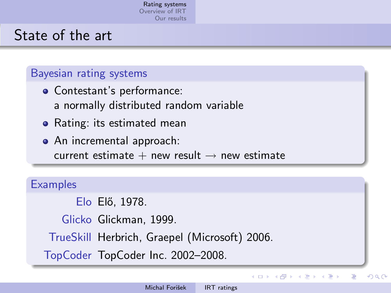# State of the art

#### Bayesian rating systems

- Contestant's performance: a normally distributed random variable
- Rating: its estimated mean
- An incremental approach: current estimate  $+$  new result  $\rightarrow$  new estimate

#### **Examples**

Elo Elő, 1978.

Glicko Glickman, 1999.

TrueSkill Herbrich, Graepel (Microsoft) 2006.

TopCoder TopCoder Inc. 2002–2008.

イロン イ母ン イヨン イヨン

э

つへへ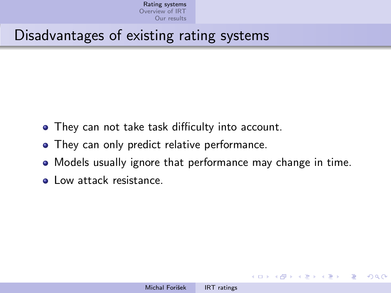## Disadvantages of existing rating systems

- They can not take task difficulty into account.
- They can only predict relative performance.
- Models usually ignore that performance may change in time.
- **Q** Low attack resistance.

 $\mathbf{A}$   $\mathbf{B}$   $\mathbf{A}$   $\mathbf{B}$   $\mathbf{A}$   $\mathbf{A}$   $\mathbf{A}$   $\mathbf{A}$   $\mathbf{A}$   $\mathbf{A}$ 

<span id="page-3-0"></span>(国) ※ (国) ≫ (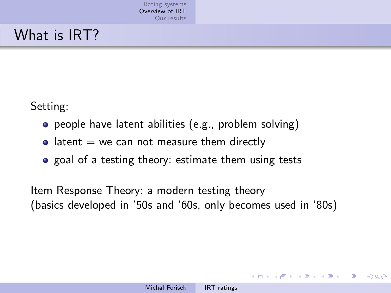# What is IRT?

Setting:

- people have latent abilities (e.g., problem solving)
- $\bullet$  latent = we can not measure them directly
- goal of a testing theory: estimate them using tests

Item Response Theory: a modern testing theory (basics developed in '50s and '60s, only becomes used in '80s)

and in

<span id="page-4-0"></span>→ イ冊 ト イヨ ト イヨ ト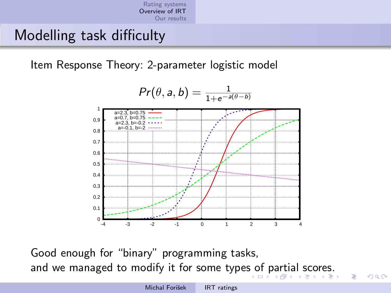### Modelling task difficulty

Item Response Theory: 2-parameter logistic model



Good enough for "binary" programming tasks, and we managed to modify it for some type[s o](#page-4-0)f [p](#page-6-0)[a](#page-4-0)[rt](#page-5-0)[ia](#page-6-0)[l](#page-3-0) [s](#page-4-0)[c](#page-7-0)[o](#page-8-0)[re](#page-3-0)[s](#page-4-0)[.](#page-7-0)

<span id="page-5-0"></span> $\equiv$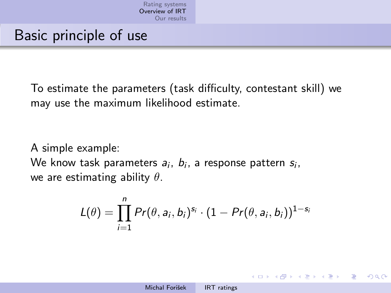# Basic principle of use

To estimate the parameters (task difficulty, contestant skill) we may use the maximum likelihood estimate.

A simple example: We know task parameters  $a_i, b_i$ , a response pattern  $s_i, \,$ we are estimating ability  $\theta$ .

$$
L(\theta) = \prod_{i=1}^n Pr(\theta, a_i, b_i)^{s_i} \cdot (1 - Pr(\theta, a_i, b_i))^{1-s_i}
$$

<span id="page-6-0"></span>イロメ イ押メ イヨメ イヨメー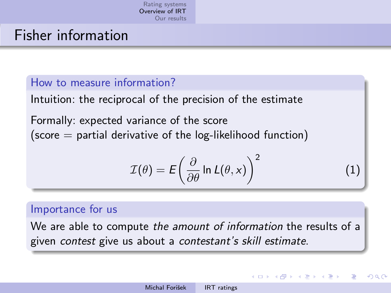### Fisher information

#### How to measure information?

Intuition: the reciprocal of the precision of the estimate

Formally: expected variance of the score  $(score =$  partial derivative of the log-likelihood function)

$$
\mathcal{I}(\theta) = E\left(\frac{\partial}{\partial \theta} \ln L(\theta, x)\right)^2 \tag{1}
$$

<span id="page-7-0"></span>∢ロト ∢母ト ∢ヨト ∢ヨト

#### Importance for us

We are able to compute the amount of information the results of a given contest give us about a contestant's skill estimate.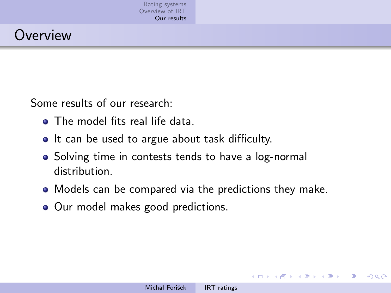# **Overview**

Some results of our research:

- The model fits real life data.
- It can be used to argue about task difficulty.
- Solving time in contests tends to have a log-normal distribution.
- Models can be compared via the predictions they make.
- Our model makes good predictions.

 $\mathbf{y} \rightarrow \mathbf{z}$  . If  $\mathbf{y} \rightarrow \mathbf{z}$ 

<span id="page-8-0"></span> $200$ 

**K ロ ▶ K 何 ▶ K**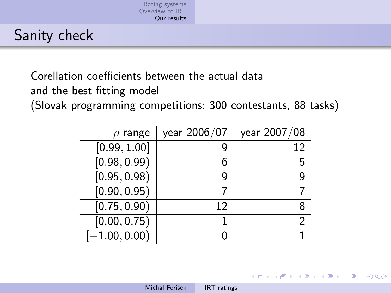# Sanity check

Corellation coefficients between the actual data

and the best fitting model

(Slovak programming competitions: 300 contestants, 88 tasks)

| $\rho$ range    | year 2006/07 | year 2007/08 |
|-----------------|--------------|--------------|
| [0.99, 1.00]    |              | 12           |
| [0.98, 0.99]    | 6            | 5            |
| [0.95, 0.98]    | q            |              |
| [0.90, 0.95)    |              |              |
| [0.75, 0.90)    | 12           |              |
| [0.00, 0.75)    |              |              |
| $[-1.00, 0.00]$ |              |              |

<span id="page-9-0"></span>イロメ イ母メ イヨメ イヨメー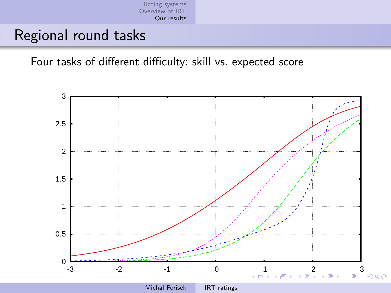<span id="page-10-0"></span>[Rating systems](#page-1-0) [Overview of IRT](#page-4-0) [Our results](#page-8-0)

### Regional round tasks

Four tasks of different difficulty: skill vs. expected score

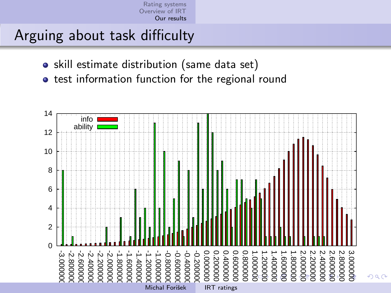<span id="page-11-0"></span>

## Arguing about task difficulty

- skill estimate distribution (same data set)
- **•** test information function for the regional round

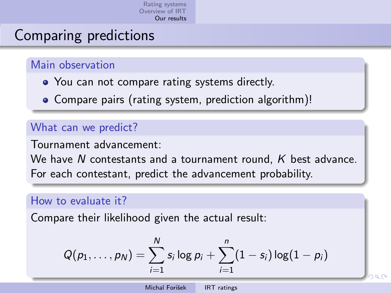# Comparing predictions

### Main observation

- You can not compare rating systems directly.
- Compare pairs (rating system, prediction algorithm)!

### What can we predict?

Tournament advancement:

We have N contestants and a tournament round, K best advance. For each contestant, predict the advancement probability.

#### How to evaluate it?

Compare their likelihood given the actual result:

<span id="page-12-0"></span>
$$
Q(p_1,\ldots,p_N)=\sum_{i=1}^N s_i\log p_i+\sum_{i=1}^n(1-s_i)\log(1-p_i)
$$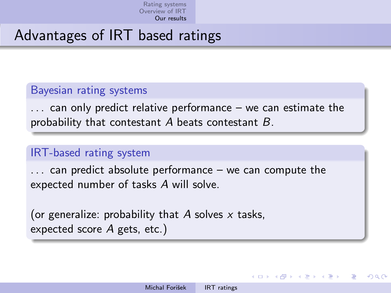# Advantages of IRT based ratings

### Bayesian rating systems

. . . can only predict relative performance – we can estimate the probability that contestant  $A$  beats contestant  $B$ .

### IRT-based rating system

. . . can predict absolute performance – we can compute the expected number of tasks A will solve.

(or generalize: probability that A solves  $x$  tasks, expected score A gets, etc.)

→ (何) → (日) → (日) →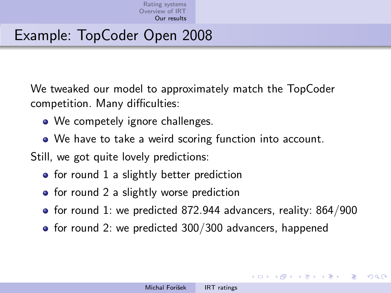# Example: TopCoder Open 2008

We tweaked our model to approximately match the TopCoder competition. Many difficulties:

- We competely ignore challenges.
- We have to take a weird scoring function into account.

Still, we got quite lovely predictions:

- $\bullet$  for round 1 a slightly better prediction
- $\bullet$  for round 2 a slightly worse prediction
- for round 1: we predicted 872.944 advancers, reality: 864/900
- $\bullet$  for round 2: we predicted 300/300 advancers, happened

メロメ メ母メ メラメメラメー